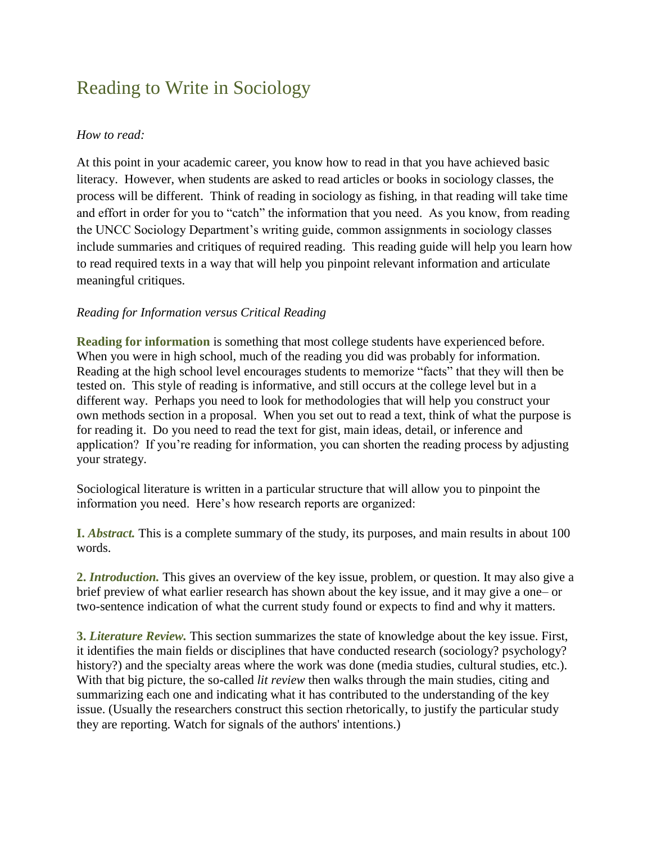# Reading to Write in Sociology

# *How to read:*

At this point in your academic career, you know how to read in that you have achieved basic literacy. However, when students are asked to read articles or books in sociology classes, the process will be different. Think of reading in sociology as fishing, in that reading will take time and effort in order for you to "catch" the information that you need. As you know, from reading the UNCC Sociology Department's writing guide, common assignments in sociology classes include summaries and critiques of required reading. This reading guide will help you learn how to read required texts in a way that will help you pinpoint relevant information and articulate meaningful critiques.

# *Reading for Information versus Critical Reading*

**Reading for information** is something that most college students have experienced before. When you were in high school, much of the reading you did was probably for information. Reading at the high school level encourages students to memorize "facts" that they will then be tested on. This style of reading is informative, and still occurs at the college level but in a different way. Perhaps you need to look for methodologies that will help you construct your own methods section in a proposal. When you set out to read a text, think of what the purpose is for reading it. Do you need to read the text for gist, main ideas, detail, or inference and application? If you're reading for information, you can shorten the reading process by adjusting your strategy.

Sociological literature is written in a particular structure that will allow you to pinpoint the information you need. Here's how research reports are organized:

**I.** *Abstract.* This is a complete summary of the study, its purposes, and main results in about 100 words.

**2.** *Introduction.* This gives an overview of the key issue, problem, or question. It may also give a brief preview of what earlier research has shown about the key issue, and it may give a one– or two-sentence indication of what the current study found or expects to find and why it matters.

**3.** *Literature Review.* This section summarizes the state of knowledge about the key issue. First, it identifies the main fields or disciplines that have conducted research (sociology? psychology? history?) and the specialty areas where the work was done (media studies, cultural studies, etc.). With that big picture, the so-called *lit review* then walks through the main studies, citing and summarizing each one and indicating what it has contributed to the understanding of the key issue. (Usually the researchers construct this section rhetorically, to justify the particular study they are reporting. Watch for signals of the authors' intentions.)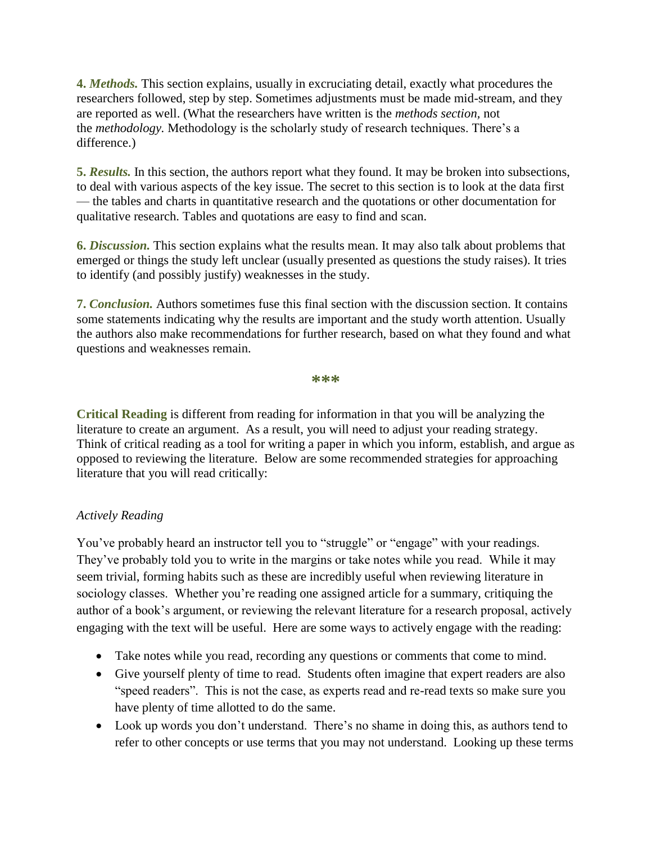**4.** *Methods.* This section explains, usually in excruciating detail, exactly what procedures the researchers followed, step by step. Sometimes adjustments must be made mid-stream, and they are reported as well. (What the researchers have written is the *methods section,* not the *methodology.* Methodology is the scholarly study of research techniques. There's a difference.)

**5.** *Results.* In this section, the authors report what they found. It may be broken into subsections, to deal with various aspects of the key issue. The secret to this section is to look at the data first — the tables and charts in quantitative research and the quotations or other documentation for qualitative research. Tables and quotations are easy to find and scan.

**6.** *Discussion.* This section explains what the results mean. It may also talk about problems that emerged or things the study left unclear (usually presented as questions the study raises). It tries to identify (and possibly justify) weaknesses in the study.

**7.** *Conclusion.* Authors sometimes fuse this final section with the discussion section. It contains some statements indicating why the results are important and the study worth attention. Usually the authors also make recommendations for further research, based on what they found and what questions and weaknesses remain.

**\*\*\***

**Critical Reading** is different from reading for information in that you will be analyzing the literature to create an argument. As a result, you will need to adjust your reading strategy. Think of critical reading as a tool for writing a paper in which you inform, establish, and argue as opposed to reviewing the literature. Below are some recommended strategies for approaching literature that you will read critically:

# *Actively Reading*

You've probably heard an instructor tell you to "struggle" or "engage" with your readings. They've probably told you to write in the margins or take notes while you read. While it may seem trivial, forming habits such as these are incredibly useful when reviewing literature in sociology classes. Whether you're reading one assigned article for a summary, critiquing the author of a book's argument, or reviewing the relevant literature for a research proposal, actively engaging with the text will be useful. Here are some ways to actively engage with the reading:

- Take notes while you read, recording any questions or comments that come to mind.
- Give yourself plenty of time to read. Students often imagine that expert readers are also "speed readers". This is not the case, as experts read and re-read texts so make sure you have plenty of time allotted to do the same.
- Look up words you don't understand. There's no shame in doing this, as authors tend to refer to other concepts or use terms that you may not understand. Looking up these terms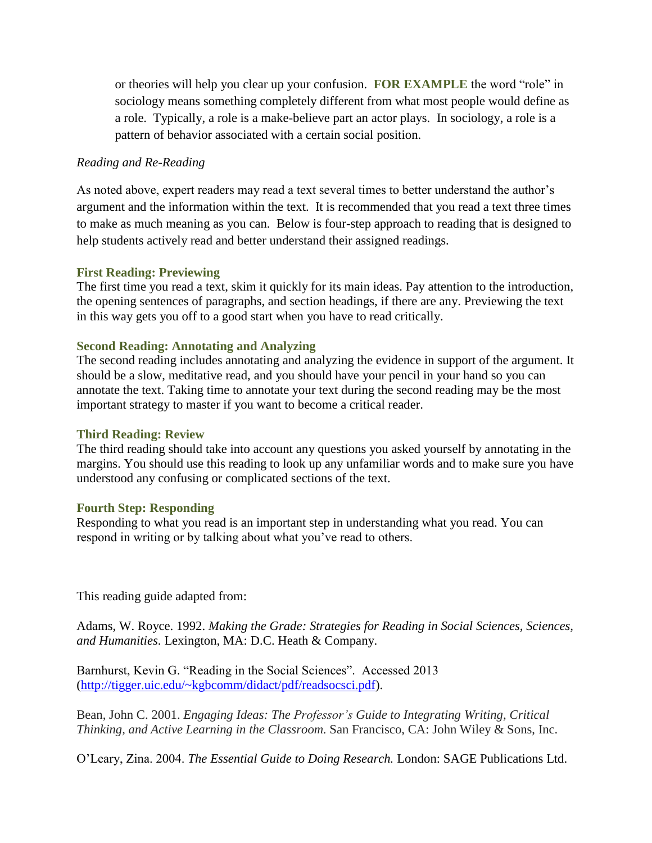or theories will help you clear up your confusion. **FOR EXAMPLE** the word "role" in sociology means something completely different from what most people would define as a role. Typically, a role is a make-believe part an actor plays. In sociology, a role is a pattern of behavior associated with a certain social position.

## *Reading and Re-Reading*

As noted above, expert readers may read a text several times to better understand the author's argument and the information within the text. It is recommended that you read a text three times to make as much meaning as you can. Below is four-step approach to reading that is designed to help students actively read and better understand their assigned readings.

### **First Reading: Previewing**

The first time you read a text, skim it quickly for its main ideas. Pay attention to the introduction, the opening sentences of paragraphs, and section headings, if there are any. Previewing the text in this way gets you off to a good start when you have to read critically.

### **Second Reading: Annotating and Analyzing**

The second reading includes annotating and analyzing the evidence in support of the argument. It should be a slow, meditative read, and you should have your pencil in your hand so you can annotate the text. Taking time to annotate your text during the second reading may be the most important strategy to master if you want to become a critical reader.

#### **Third Reading: Review**

The third reading should take into account any questions you asked yourself by annotating in the margins. You should use this reading to look up any unfamiliar words and to make sure you have understood any confusing or complicated sections of the text.

#### **Fourth Step: Responding**

Responding to what you read is an important step in understanding what you read. You can respond in writing or by talking about what you've read to others.

This reading guide adapted from:

Adams, W. Royce. 1992. *Making the Grade: Strategies for Reading in Social Sciences, Sciences, and Humanities*. Lexington, MA: D.C. Heath & Company.

Barnhurst, Kevin G. "Reading in the Social Sciences". Accessed 2013 [\(http://tigger.uic.edu/~kgbcomm/didact/pdf/readsocsci.pdf\)](http://tigger.uic.edu/~kgbcomm/didact/pdf/readsocsci.pdf).

Bean, John C. 2001. *Engaging Ideas: The Professor's Guide to Integrating Writing, Critical Thinking, and Active Learning in the Classroom.* San Francisco, CA: John Wiley & Sons, Inc.

O'Leary, Zina. 2004. *The Essential Guide to Doing Research.* London: SAGE Publications Ltd.